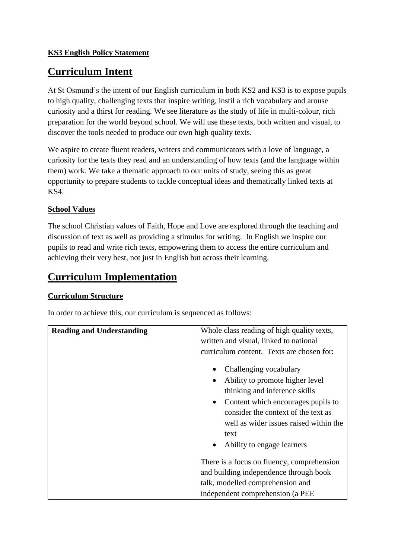## **KS3 English Policy Statement**

# **Curriculum Intent**

At St Osmund's the intent of our English curriculum in both KS2 and KS3 is to expose pupils to high quality, challenging texts that inspire writing, instil a rich vocabulary and arouse curiosity and a thirst for reading. We see literature as the study of life in multi-colour, rich preparation for the world beyond school. We will use these texts, both written and visual, to discover the tools needed to produce our own high quality texts.

We aspire to create fluent readers, writers and communicators with a love of language, a curiosity for the texts they read and an understanding of how texts (and the language within them) work. We take a thematic approach to our units of study, seeing this as great opportunity to prepare students to tackle conceptual ideas and thematically linked texts at KS4.

## **School Values**

The school Christian values of Faith, Hope and Love are explored through the teaching and discussion of text as well as providing a stimulus for writing. In English we inspire our pupils to read and write rich texts, empowering them to access the entire curriculum and achieving their very best, not just in English but across their learning.

# **Curriculum Implementation**

## **Curriculum Structure**

In order to achieve this, our curriculum is sequenced as follows:

| <b>Reading and Understanding</b> | Whole class reading of high quality texts,<br>written and visual, linked to national<br>curriculum content. Texts are chosen for:                                                                                                                                                 |
|----------------------------------|-----------------------------------------------------------------------------------------------------------------------------------------------------------------------------------------------------------------------------------------------------------------------------------|
|                                  | Challenging vocabulary<br>Ability to promote higher level<br>$\bullet$<br>thinking and inference skills<br>Content which encourages pupils to<br>$\bullet$<br>consider the context of the text as<br>well as wider issues raised within the<br>text<br>Ability to engage learners |
|                                  | There is a focus on fluency, comprehension<br>and building independence through book<br>talk, modelled comprehension and<br>independent comprehension (a PEE                                                                                                                      |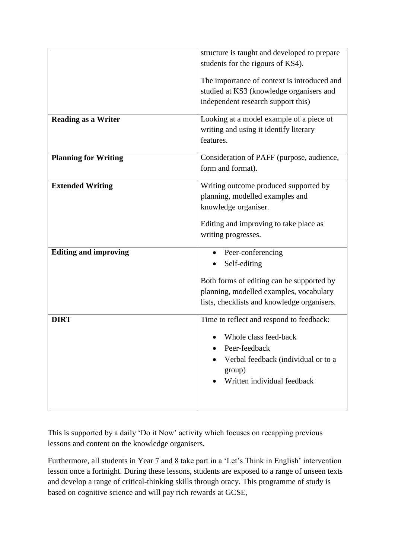|                              | structure is taught and developed to prepare<br>students for the rigours of KS4).                                                                                        |
|------------------------------|--------------------------------------------------------------------------------------------------------------------------------------------------------------------------|
|                              | The importance of context is introduced and<br>studied at KS3 (knowledge organisers and<br>independent research support this)                                            |
| <b>Reading as a Writer</b>   | Looking at a model example of a piece of<br>writing and using it identify literary<br>features.                                                                          |
| <b>Planning for Writing</b>  | Consideration of PAFF (purpose, audience,<br>form and format).                                                                                                           |
| <b>Extended Writing</b>      | Writing outcome produced supported by<br>planning, modelled examples and<br>knowledge organiser.<br>Editing and improving to take place as<br>writing progresses.        |
| <b>Editing and improving</b> | Peer-conferencing<br>Self-editing<br>Both forms of editing can be supported by<br>planning, modelled examples, vocabulary<br>lists, checklists and knowledge organisers. |
| <b>DIRT</b>                  | Time to reflect and respond to feedback:<br>Whole class feed-back<br>Peer-feedback<br>Verbal feedback (individual or to a<br>group)<br>Written individual feedback       |

This is supported by a daily 'Do it Now' activity which focuses on recapping previous lessons and content on the knowledge organisers.

Furthermore, all students in Year 7 and 8 take part in a 'Let's Think in English' intervention lesson once a fortnight. During these lessons, students are exposed to a range of unseen texts and develop a range of critical-thinking skills through oracy. This programme of study is based on cognitive science and will pay rich rewards at GCSE,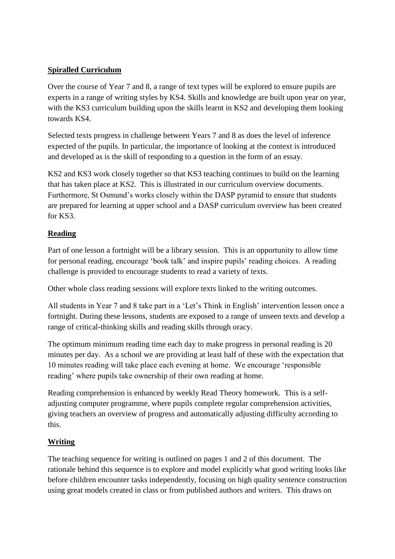#### **Spiralled Curriculum**

Over the course of Year 7 and 8, a range of text types will be explored to ensure pupils are experts in a range of writing styles by KS4. Skills and knowledge are built upon year on year, with the KS3 curriculum building upon the skills learnt in KS2 and developing them looking towards KS4.

Selected texts progress in challenge between Years 7 and 8 as does the level of inference expected of the pupils. In particular, the importance of looking at the context is introduced and developed as is the skill of responding to a question in the form of an essay.

KS2 and KS3 work closely together so that KS3 teaching continues to build on the learning that has taken place at KS2. This is illustrated in our curriculum overview documents. Furthermore, St Osmund's works closely within the DASP pyramid to ensure that students are prepared for learning at upper school and a DASP curriculum overview has been created for KS3.

#### **Reading**

Part of one lesson a fortnight will be a library session. This is an opportunity to allow time for personal reading, encourage 'book talk' and inspire pupils' reading choices. A reading challenge is provided to encourage students to read a variety of texts.

Other whole class reading sessions will explore texts linked to the writing outcomes.

All students in Year 7 and 8 take part in a 'Let's Think in English' intervention lesson once a fortnight. During these lessons, students are exposed to a range of unseen texts and develop a range of critical-thinking skills and reading skills through oracy.

The optimum minimum reading time each day to make progress in personal reading is 20 minutes per day. As a school we are providing at least half of these with the expectation that 10 minutes reading will take place each evening at home. We encourage 'responsible reading' where pupils take ownership of their own reading at home.

Reading comprehension is enhanced by weekly Read Theory homework. This is a selfadjusting computer programme, where pupils complete regular comprehension activities, giving teachers an overview of progress and automatically adjusting difficulty according to this.

## **Writing**

The teaching sequence for writing is outlined on pages 1 and 2 of this document. The rationale behind this sequence is to explore and model explicitly what good writing looks like before children encounter tasks independently, focusing on high quality sentence construction using great models created in class or from published authors and writers. This draws on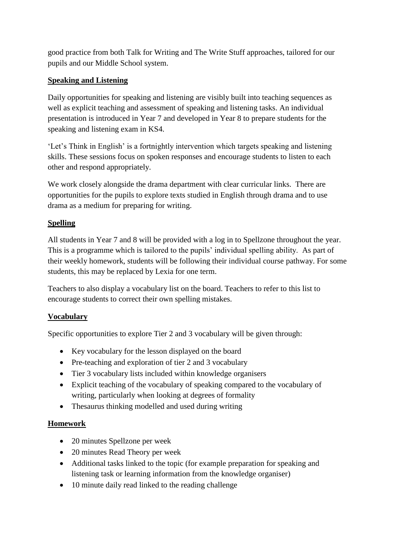good practice from both Talk for Writing and The Write Stuff approaches, tailored for our pupils and our Middle School system.

## **Speaking and Listening**

Daily opportunities for speaking and listening are visibly built into teaching sequences as well as explicit teaching and assessment of speaking and listening tasks. An individual presentation is introduced in Year 7 and developed in Year 8 to prepare students for the speaking and listening exam in KS4.

'Let's Think in English' is a fortnightly intervention which targets speaking and listening skills. These sessions focus on spoken responses and encourage students to listen to each other and respond appropriately.

We work closely alongside the drama department with clear curricular links. There are opportunities for the pupils to explore texts studied in English through drama and to use drama as a medium for preparing for writing.

# **Spelling**

All students in Year 7 and 8 will be provided with a log in to Spellzone throughout the year. This is a programme which is tailored to the pupils' individual spelling ability. As part of their weekly homework, students will be following their individual course pathway. For some students, this may be replaced by Lexia for one term.

Teachers to also display a vocabulary list on the board. Teachers to refer to this list to encourage students to correct their own spelling mistakes.

## **Vocabulary**

Specific opportunities to explore Tier 2 and 3 vocabulary will be given through:

- Key vocabulary for the lesson displayed on the board
- Pre-teaching and exploration of tier 2 and 3 vocabulary
- Tier 3 vocabulary lists included within knowledge organisers
- Explicit teaching of the vocabulary of speaking compared to the vocabulary of writing, particularly when looking at degrees of formality
- Thesaurus thinking modelled and used during writing

# **Homework**

- 20 minutes Spellzone per week
- 20 minutes Read Theory per week
- Additional tasks linked to the topic (for example preparation for speaking and listening task or learning information from the knowledge organiser)
- 10 minute daily read linked to the reading challenge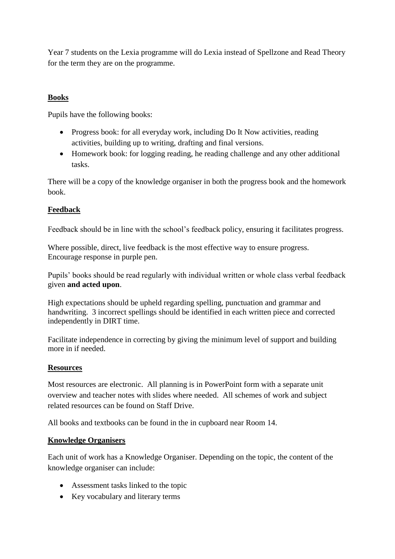Year 7 students on the Lexia programme will do Lexia instead of Spellzone and Read Theory for the term they are on the programme.

#### **Books**

Pupils have the following books:

- Progress book: for all everyday work, including Do It Now activities, reading activities, building up to writing, drafting and final versions.
- Homework book: for logging reading, he reading challenge and any other additional tasks.

There will be a copy of the knowledge organiser in both the progress book and the homework book.

## **Feedback**

Feedback should be in line with the school's feedback policy, ensuring it facilitates progress.

Where possible, direct, live feedback is the most effective way to ensure progress. Encourage response in purple pen.

Pupils' books should be read regularly with individual written or whole class verbal feedback given **and acted upon**.

High expectations should be upheld regarding spelling, punctuation and grammar and handwriting. 3 incorrect spellings should be identified in each written piece and corrected independently in DIRT time.

Facilitate independence in correcting by giving the minimum level of support and building more in if needed.

#### **Resources**

Most resources are electronic. All planning is in PowerPoint form with a separate unit overview and teacher notes with slides where needed. All schemes of work and subject related resources can be found on Staff Drive.

All books and textbooks can be found in the in cupboard near Room 14.

#### **Knowledge Organisers**

Each unit of work has a Knowledge Organiser. Depending on the topic, the content of the knowledge organiser can include:

- Assessment tasks linked to the topic
- Key vocabulary and literary terms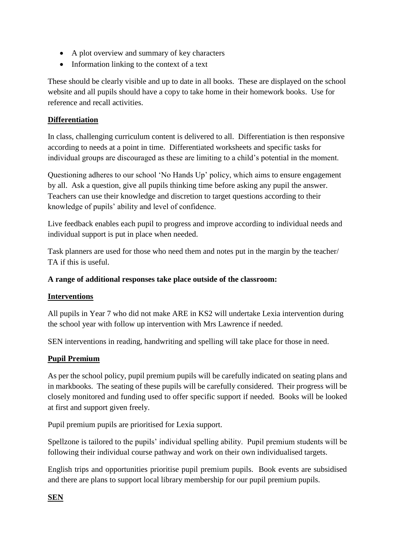- A plot overview and summary of key characters
- Information linking to the context of a text

These should be clearly visible and up to date in all books. These are displayed on the school website and all pupils should have a copy to take home in their homework books. Use for reference and recall activities.

## **Differentiation**

In class, challenging curriculum content is delivered to all. Differentiation is then responsive according to needs at a point in time. Differentiated worksheets and specific tasks for individual groups are discouraged as these are limiting to a child's potential in the moment.

Questioning adheres to our school 'No Hands Up' policy, which aims to ensure engagement by all. Ask a question, give all pupils thinking time before asking any pupil the answer. Teachers can use their knowledge and discretion to target questions according to their knowledge of pupils' ability and level of confidence.

Live feedback enables each pupil to progress and improve according to individual needs and individual support is put in place when needed.

Task planners are used for those who need them and notes put in the margin by the teacher/ TA if this is useful.

## **A range of additional responses take place outside of the classroom:**

## **Interventions**

All pupils in Year 7 who did not make ARE in KS2 will undertake Lexia intervention during the school year with follow up intervention with Mrs Lawrence if needed.

SEN interventions in reading, handwriting and spelling will take place for those in need.

# **Pupil Premium**

As per the school policy, pupil premium pupils will be carefully indicated on seating plans and in markbooks. The seating of these pupils will be carefully considered. Their progress will be closely monitored and funding used to offer specific support if needed. Books will be looked at first and support given freely.

Pupil premium pupils are prioritised for Lexia support.

Spellzone is tailored to the pupils' individual spelling ability. Pupil premium students will be following their individual course pathway and work on their own individualised targets.

English trips and opportunities prioritise pupil premium pupils. Book events are subsidised and there are plans to support local library membership for our pupil premium pupils.

# **SEN**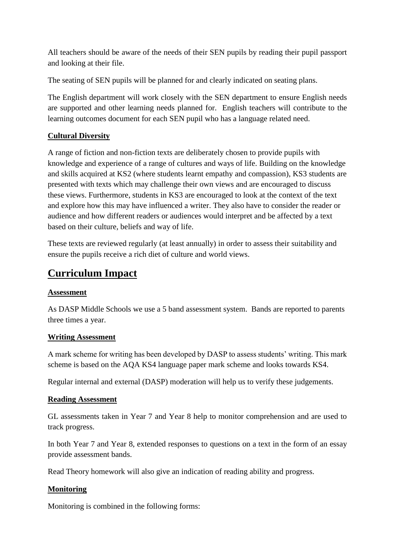All teachers should be aware of the needs of their SEN pupils by reading their pupil passport and looking at their file.

The seating of SEN pupils will be planned for and clearly indicated on seating plans.

The English department will work closely with the SEN department to ensure English needs are supported and other learning needs planned for. English teachers will contribute to the learning outcomes document for each SEN pupil who has a language related need.

## **Cultural Diversity**

A range of fiction and non-fiction texts are deliberately chosen to provide pupils with knowledge and experience of a range of cultures and ways of life. Building on the knowledge and skills acquired at KS2 (where students learnt empathy and compassion), KS3 students are presented with texts which may challenge their own views and are encouraged to discuss these views. Furthermore, students in KS3 are encouraged to look at the context of the text and explore how this may have influenced a writer. They also have to consider the reader or audience and how different readers or audiences would interpret and be affected by a text based on their culture, beliefs and way of life.

These texts are reviewed regularly (at least annually) in order to assess their suitability and ensure the pupils receive a rich diet of culture and world views.

# **Curriculum Impact**

#### **Assessment**

As DASP Middle Schools we use a 5 band assessment system. Bands are reported to parents three times a year.

#### **Writing Assessment**

A mark scheme for writing has been developed by DASP to assess students' writing. This mark scheme is based on the AQA KS4 language paper mark scheme and looks towards KS4.

Regular internal and external (DASP) moderation will help us to verify these judgements.

#### **Reading Assessment**

GL assessments taken in Year 7 and Year 8 help to monitor comprehension and are used to track progress.

In both Year 7 and Year 8, extended responses to questions on a text in the form of an essay provide assessment bands.

Read Theory homework will also give an indication of reading ability and progress.

## **Monitoring**

Monitoring is combined in the following forms: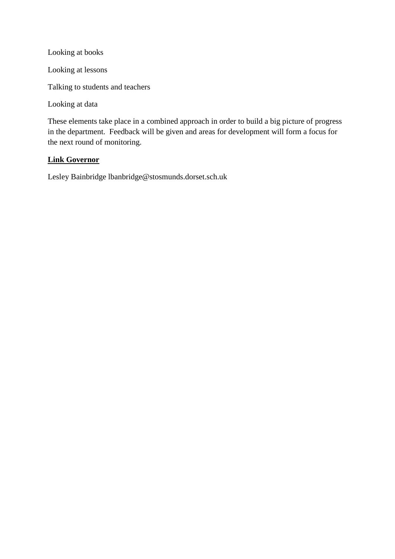Looking at books

Looking at lessons

Talking to students and teachers

Looking at data

These elements take place in a combined approach in order to build a big picture of progress in the department. Feedback will be given and areas for development will form a focus for the next round of monitoring.

#### **Link Governor**

Lesley Bainbridge lbanbridge@stosmunds.dorset.sch.uk